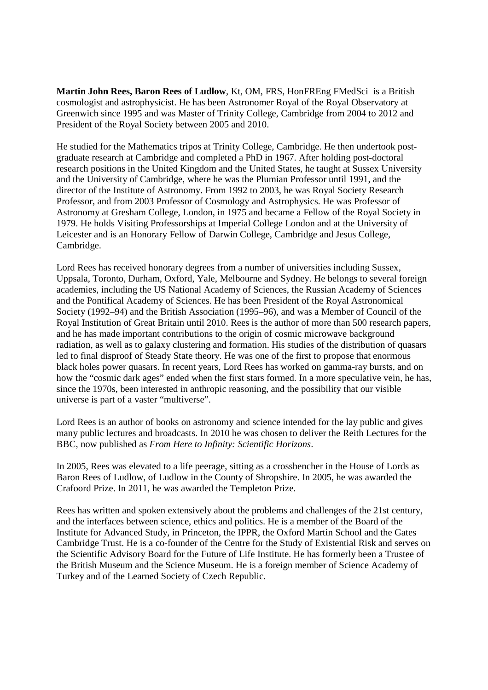**Martin John Rees, Baron Rees of Ludlow**, Kt, OM, FRS, HonFREng FMedSci is a British cosmologist and astrophysicist. He has been Astronomer Royal of the Royal Observatory at Greenwich since 1995 and was Master of Trinity College, Cambridge from 2004 to 2012 and President of the Royal Society between 2005 and 2010.

He studied for the Mathematics tripos at Trinity College, Cambridge. He then undertook postgraduate research at Cambridge and completed a PhD in 1967. After holding post-doctoral research positions in the United Kingdom and the United States, he taught at Sussex University and the University of Cambridge, where he was the Plumian Professor until 1991, and the director of the Institute of Astronomy. From 1992 to 2003, he was Royal Society Research Professor, and from 2003 Professor of Cosmology and Astrophysics. He was Professor of Astronomy at Gresham College, London, in 1975 and became a Fellow of the Royal Society in 1979. He holds Visiting Professorships at Imperial College London and at the University of Leicester and is an Honorary Fellow of Darwin College, Cambridge and Jesus College, Cambridge.

Lord Rees has received honorary degrees from a number of universities including Sussex, Uppsala, Toronto, Durham, Oxford, Yale, Melbourne and Sydney. He belongs to several foreign academies, including the US National Academy of Sciences, the Russian Academy of Sciences and the Pontifical Academy of Sciences. He has been President of the Royal Astronomical Society (1992–94) and the British Association (1995–96), and was a Member of Council of the Royal Institution of Great Britain until 2010. Rees is the author of more than 500 research papers, and he has made important contributions to the origin of cosmic microwave background radiation, as well as to galaxy clustering and formation. His studies of the distribution of quasars led to final disproof of Steady State theory. He was one of the first to propose that enormous black holes power quasars. In recent years, Lord Rees has worked on gamma-ray bursts, and on how the "cosmic dark ages" ended when the first stars formed. In a more speculative vein, he has, since the 1970s, been interested in anthropic reasoning, and the possibility that our visible universe is part of a vaster "multiverse".

Lord Rees is an author of books on astronomy and science intended for the lay public and gives many public lectures and broadcasts. In 2010 he was chosen to deliver the Reith Lectures for the BBC, now published as *From Here to Infinity: Scientific Horizons*.

In 2005, Rees was elevated to a life peerage, sitting as a crossbencher in the House of Lords as Baron Rees of Ludlow, of Ludlow in the County of Shropshire. In 2005, he was awarded the Crafoord Prize. In 2011, he was awarded the Templeton Prize.

Rees has written and spoken extensively about the problems and challenges of the 21st century, and the interfaces between science, ethics and politics. He is a member of the Board of the Institute for Advanced Study, in Princeton, the IPPR, the Oxford Martin School and the Gates Cambridge Trust. He is a co-founder of the Centre for the Study of Existential Risk and serves on the Scientific Advisory Board for the Future of Life Institute. He has formerly been a Trustee of the British Museum and the Science Museum. He is a foreign member of Science Academy of Turkey and of the Learned Society of Czech Republic.